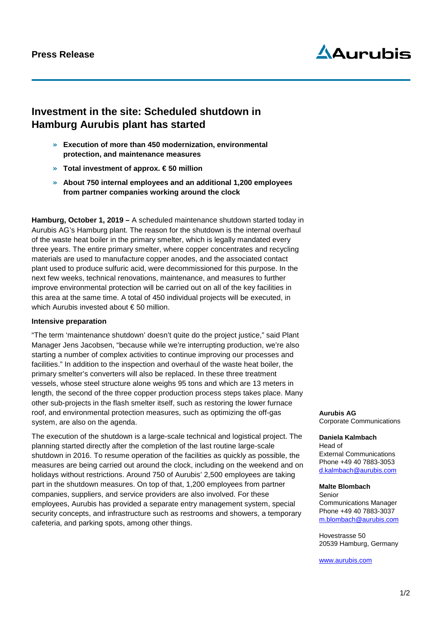# $\Delta$ Aurubis

# **Investment in the site: Scheduled shutdown in Hamburg Aurubis plant has started**

- » **Execution of more than 450 modernization, environmental protection, and maintenance measures**
- » **Total investment of approx. € 50 million**
- » **About 750 internal employees and an additional 1,200 employees from partner companies working around the clock**

**Hamburg, October 1, 2019 –** A scheduled maintenance shutdown started today in Aurubis AG's Hamburg plant. The reason for the shutdown is the internal overhaul of the waste heat boiler in the primary smelter, which is legally mandated every three years. The entire primary smelter, where copper concentrates and recycling materials are used to manufacture copper anodes, and the associated contact plant used to produce sulfuric acid, were decommissioned for this purpose. In the next few weeks, technical renovations, maintenance, and measures to further improve environmental protection will be carried out on all of the key facilities in this area at the same time. A total of 450 individual projects will be executed, in which Aurubis invested about € 50 million.

## **Intensive preparation**

"The term 'maintenance shutdown' doesn't quite do the project justice," said Plant Manager Jens Jacobsen, "because while we're interrupting production, we're also starting a number of complex activities to continue improving our processes and facilities." In addition to the inspection and overhaul of the waste heat boiler, the primary smelter's converters will also be replaced. In these three treatment vessels, whose steel structure alone weighs 95 tons and which are 13 meters in length, the second of the three copper production process steps takes place. Many other sub-projects in the flash smelter itself, such as restoring the lower furnace roof, and environmental protection measures, such as optimizing the off-gas system, are also on the agenda.

The execution of the shutdown is a large-scale technical and logistical project. The planning started directly after the completion of the last routine large-scale shutdown in 2016. To resume operation of the facilities as quickly as possible, the measures are being carried out around the clock, including on the weekend and on holidays without restrictions. Around 750 of Aurubis' 2,500 employees are taking part in the shutdown measures. On top of that, 1,200 employees from partner companies, suppliers, and service providers are also involved. For these employees, Aurubis has provided a separate entry management system, special security concepts, and infrastructure such as restrooms and showers, a temporary cafeteria, and parking spots, among other things.

**Aurubis AG** Corporate Communications

**Daniela Kalmbach** Head of External Communications Phone +49 40 7883-3053 d.kalmbach@aurubis.com

#### **Malte Blombach**

Senior Communications Manager Phone +49 40 7883-3037 [m.blombach@aurubis.com](mailto:m.blombach@aurubis.com)

Hovestrasse 50 20539 Hamburg, Germany

[www.aurubis.com](http://www.aurubis.com/)